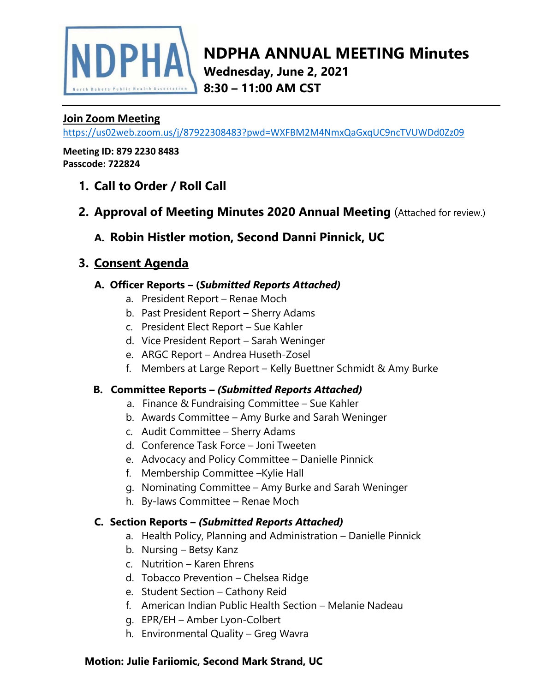

**Wednesday, June 2, 2021 8:30 – 11:00 AM CST**

## **Join Zoom Meeting**

<https://us02web.zoom.us/j/87922308483?pwd=WXFBM2M4NmxQaGxqUC9ncTVUWDd0Zz09>

**Meeting ID: 879 2230 8483 Passcode: 722824**

- **1. Call to Order / Roll Call**
- **2. Approval of Meeting Minutes 2020 Annual Meeting** (Attached for review.)

## **A. Robin Histler motion, Second Danni Pinnick, UC**

# **3. Consent Agenda**

## **A. Officer Reports – (***Submitted Reports Attached)*

- a. President Report Renae Moch
- b. Past President Report Sherry Adams
- c. President Elect Report Sue Kahler
- d. Vice President Report Sarah Weninger
- e. ARGC Report Andrea Huseth-Zosel
- f. Members at Large Report Kelly Buettner Schmidt & Amy Burke

## **B. Committee Reports –** *(Submitted Reports Attached)*

- a. Finance & Fundraising Committee Sue Kahler
- b. Awards Committee Amy Burke and Sarah Weninger
- c. Audit Committee Sherry Adams
- d. Conference Task Force Joni Tweeten
- e. Advocacy and Policy Committee Danielle Pinnick
- f. Membership Committee –Kylie Hall
- g. Nominating Committee Amy Burke and Sarah Weninger
- h. By-laws Committee Renae Moch

#### **C. Section Reports –** *(Submitted Reports Attached)*

- a. Health Policy, Planning and Administration Danielle Pinnick
- b. Nursing Betsy Kanz
- c. Nutrition Karen Ehrens
- d. Tobacco Prevention Chelsea Ridge
- e. Student Section Cathony Reid
- f. American Indian Public Health Section Melanie Nadeau
- g. EPR/EH Amber Lyon-Colbert
- h. Environmental Quality Greg Wavra

## **Motion: Julie Fariiomic, Second Mark Strand, UC**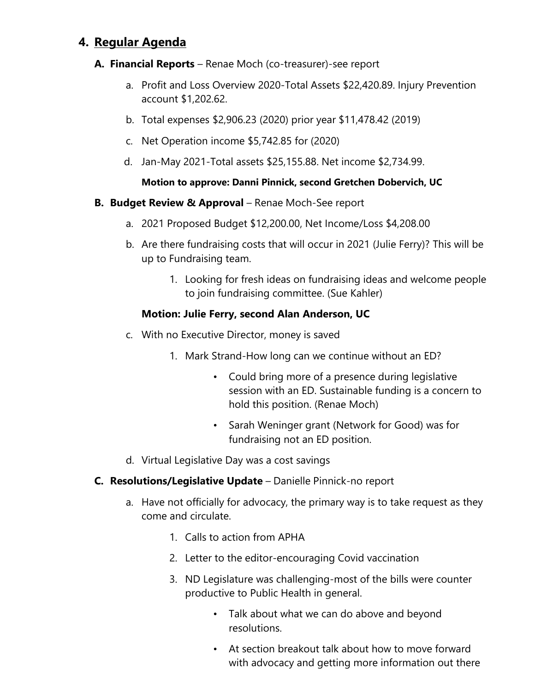# **4. Regular Agenda**

#### **A. Financial Reports** – Renae Moch (co-treasurer)-see report

- a. Profit and Loss Overview 2020-Total Assets \$22,420.89. Injury Prevention account \$1,202.62.
- b. Total expenses \$2,906.23 (2020) prior year \$11,478.42 (2019)
- c. Net Operation income \$5,742.85 for (2020)
- d. Jan-May 2021-Total assets \$25,155.88. Net income \$2,734.99.

#### **Motion to approve: Danni Pinnick, second Gretchen Dobervich, UC**

#### **B. Budget Review & Approval** – Renae Moch-See report

- a. 2021 Proposed Budget \$12,200.00, Net Income/Loss \$4,208.00
- b. Are there fundraising costs that will occur in 2021 (Julie Ferry)? This will be up to Fundraising team.
	- 1. Looking for fresh ideas on fundraising ideas and welcome people to join fundraising committee. (Sue Kahler)

#### **Motion: Julie Ferry, second Alan Anderson, UC**

- c. With no Executive Director, money is saved
	- 1. Mark Strand-How long can we continue without an ED?
		- Could bring more of a presence during legislative session with an ED. Sustainable funding is a concern to hold this position. (Renae Moch)
		- Sarah Weninger grant (Network for Good) was for fundraising not an ED position.
- d. Virtual Legislative Day was a cost savings
- **C. Resolutions/Legislative Update** Danielle Pinnick-no report
	- a. Have not officially for advocacy, the primary way is to take request as they come and circulate.
		- 1. Calls to action from APHA
		- 2. Letter to the editor-encouraging Covid vaccination
		- 3. ND Legislature was challenging-most of the bills were counter productive to Public Health in general.
			- Talk about what we can do above and beyond resolutions.
			- At section breakout talk about how to move forward with advocacy and getting more information out there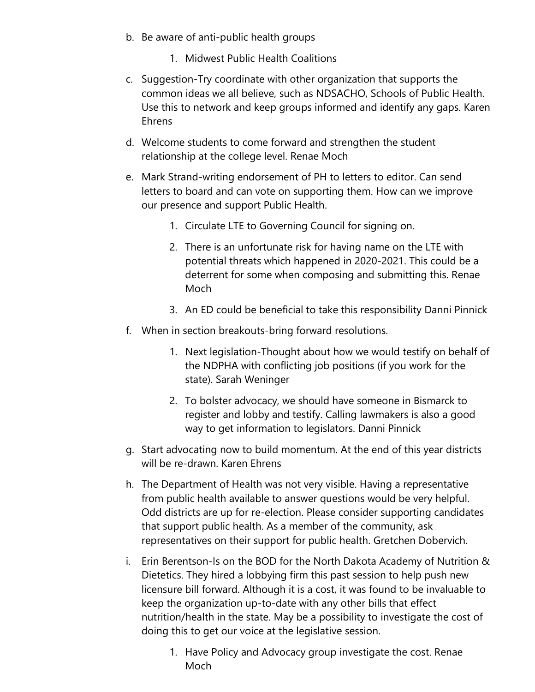- b. Be aware of anti-public health groups
	- 1. Midwest Public Health Coalitions
- c. Suggestion-Try coordinate with other organization that supports the common ideas we all believe, such as NDSACHO, Schools of Public Health. Use this to network and keep groups informed and identify any gaps. Karen Ehrens
- d. Welcome students to come forward and strengthen the student relationship at the college level. Renae Moch
- e. Mark Strand-writing endorsement of PH to letters to editor. Can send letters to board and can vote on supporting them. How can we improve our presence and support Public Health.
	- 1. Circulate LTE to Governing Council for signing on.
	- 2. There is an unfortunate risk for having name on the LTE with potential threats which happened in 2020-2021. This could be a deterrent for some when composing and submitting this. Renae Moch
	- 3. An ED could be beneficial to take this responsibility Danni Pinnick
- f. When in section breakouts-bring forward resolutions.
	- 1. Next legislation-Thought about how we would testify on behalf of the NDPHA with conflicting job positions (if you work for the state). Sarah Weninger
	- 2. To bolster advocacy, we should have someone in Bismarck to register and lobby and testify. Calling lawmakers is also a good way to get information to legislators. Danni Pinnick
- g. Start advocating now to build momentum. At the end of this year districts will be re-drawn. Karen Ehrens
- h. The Department of Health was not very visible. Having a representative from public health available to answer questions would be very helpful. Odd districts are up for re-election. Please consider supporting candidates that support public health. As a member of the community, ask representatives on their support for public health. Gretchen Dobervich.
- i. Erin Berentson-Is on the BOD for the North Dakota Academy of Nutrition & Dietetics. They hired a lobbying firm this past session to help push new licensure bill forward. Although it is a cost, it was found to be invaluable to keep the organization up-to-date with any other bills that effect nutrition/health in the state. May be a possibility to investigate the cost of doing this to get our voice at the legislative session.
	- 1. Have Policy and Advocacy group investigate the cost. Renae Moch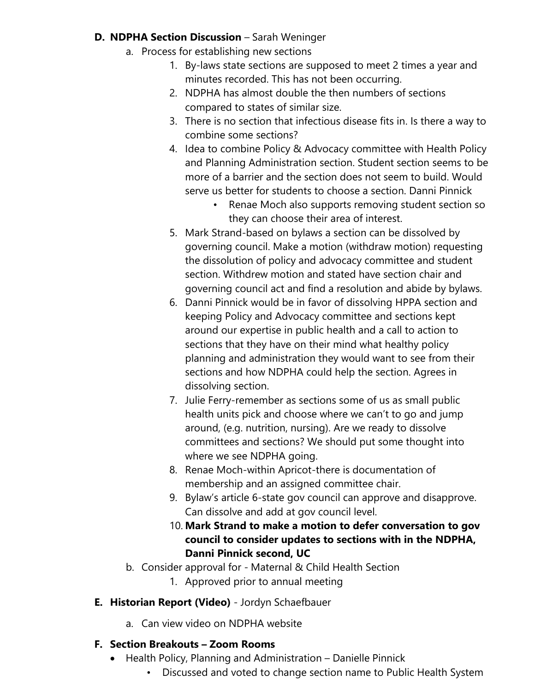### **D. NDPHA Section Discussion** – Sarah Weninger

- a. Process for establishing new sections
	- 1. By-laws state sections are supposed to meet 2 times a year and minutes recorded. This has not been occurring.
	- 2. NDPHA has almost double the then numbers of sections compared to states of similar size.
	- 3. There is no section that infectious disease fits in. Is there a way to combine some sections?
	- 4. Idea to combine Policy & Advocacy committee with Health Policy and Planning Administration section. Student section seems to be more of a barrier and the section does not seem to build. Would serve us better for students to choose a section. Danni Pinnick
		- Renae Moch also supports removing student section so they can choose their area of interest.
	- 5. Mark Strand-based on bylaws a section can be dissolved by governing council. Make a motion (withdraw motion) requesting the dissolution of policy and advocacy committee and student section. Withdrew motion and stated have section chair and governing council act and find a resolution and abide by bylaws.
	- 6. Danni Pinnick would be in favor of dissolving HPPA section and keeping Policy and Advocacy committee and sections kept around our expertise in public health and a call to action to sections that they have on their mind what healthy policy planning and administration they would want to see from their sections and how NDPHA could help the section. Agrees in dissolving section.
	- 7. Julie Ferry-remember as sections some of us as small public health units pick and choose where we can't to go and jump around, (e.g. nutrition, nursing). Are we ready to dissolve committees and sections? We should put some thought into where we see NDPHA going.
	- 8. Renae Moch-within Apricot-there is documentation of membership and an assigned committee chair.
	- 9. Bylaw's article 6-state gov council can approve and disapprove. Can dissolve and add at gov council level.
	- 10. **Mark Strand to make a motion to defer conversation to gov council to consider updates to sections with in the NDPHA, Danni Pinnick second, UC**
- b. Consider approval for Maternal & Child Health Section
	- 1. Approved prior to annual meeting

## **E. Historian Report (Video)** - Jordyn Schaefbauer

a. Can view video on NDPHA website

## **F. Section Breakouts – Zoom Rooms**

- Health Policy, Planning and Administration Danielle Pinnick
	- Discussed and voted to change section name to Public Health System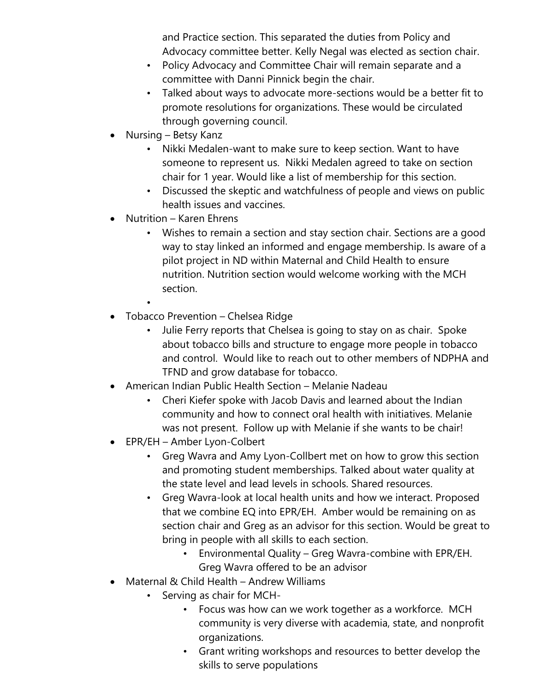and Practice section. This separated the duties from Policy and Advocacy committee better. Kelly Negal was elected as section chair.

- Policy Advocacy and Committee Chair will remain separate and a committee with Danni Pinnick begin the chair.
- Talked about ways to advocate more-sections would be a better fit to promote resolutions for organizations. These would be circulated through governing council.
- Nursing Betsy Kanz
	- Nikki Medalen-want to make sure to keep section. Want to have someone to represent us. Nikki Medalen agreed to take on section chair for 1 year. Would like a list of membership for this section.
	- Discussed the skeptic and watchfulness of people and views on public health issues and vaccines.
- Nutrition Karen Ehrens
	- Wishes to remain a section and stay section chair. Sections are a good way to stay linked an informed and engage membership. Is aware of a pilot project in ND within Maternal and Child Health to ensure nutrition. Nutrition section would welcome working with the MCH section.
	- •
- Tobacco Prevention Chelsea Ridge
	- Julie Ferry reports that Chelsea is going to stay on as chair. Spoke about tobacco bills and structure to engage more people in tobacco and control. Would like to reach out to other members of NDPHA and TFND and grow database for tobacco.
- American Indian Public Health Section Melanie Nadeau
	- Cheri Kiefer spoke with Jacob Davis and learned about the Indian community and how to connect oral health with initiatives. Melanie was not present. Follow up with Melanie if she wants to be chair!
- EPR/EH Amber Lyon-Colbert
	- Greg Wavra and Amy Lyon-Collbert met on how to grow this section and promoting student memberships. Talked about water quality at the state level and lead levels in schools. Shared resources.
	- Greg Wavra-look at local health units and how we interact. Proposed that we combine EQ into EPR/EH. Amber would be remaining on as section chair and Greg as an advisor for this section. Would be great to bring in people with all skills to each section.
		- Environmental Quality Greg Wavra-combine with EPR/EH. Greg Wavra offered to be an advisor
- Maternal & Child Health Andrew Williams
	- Serving as chair for MCH-
		- Focus was how can we work together as a workforce. MCH community is very diverse with academia, state, and nonprofit organizations.
		- Grant writing workshops and resources to better develop the skills to serve populations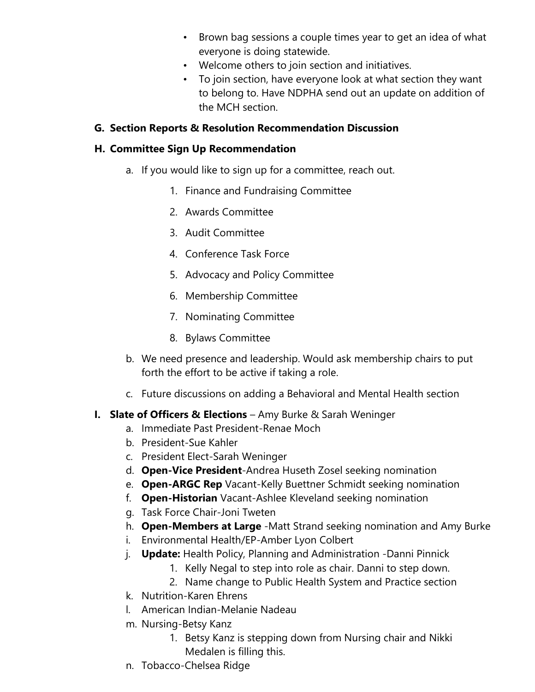- Brown bag sessions a couple times year to get an idea of what everyone is doing statewide.
- Welcome others to join section and initiatives.
- To join section, have everyone look at what section they want to belong to. Have NDPHA send out an update on addition of the MCH section.

## **G. Section Reports & Resolution Recommendation Discussion**

## **H. Committee Sign Up Recommendation**

- a. If you would like to sign up for a committee, reach out.
	- 1. Finance and Fundraising Committee
	- 2. Awards Committee
	- 3. Audit Committee
	- 4. Conference Task Force
	- 5. Advocacy and Policy Committee
	- 6. Membership Committee
	- 7. Nominating Committee
	- 8. Bylaws Committee
- b. We need presence and leadership. Would ask membership chairs to put forth the effort to be active if taking a role.
- c. Future discussions on adding a Behavioral and Mental Health section
- **I. Slate of Officers & Elections** Amy Burke & Sarah Weninger
	- a. Immediate Past President-Renae Moch
	- b. President-Sue Kahler
	- c. President Elect-Sarah Weninger
	- d. **Open-Vice President**-Andrea Huseth Zosel seeking nomination
	- e. **Open-ARGC Rep** Vacant-Kelly Buettner Schmidt seeking nomination
	- f. **Open-Historian** Vacant-Ashlee Kleveland seeking nomination
	- g. Task Force Chair-Joni Tweten
	- h. **Open-Members at Large** -Matt Strand seeking nomination and Amy Burke
	- i. Environmental Health/EP-Amber Lyon Colbert
	- j. **Update:** Health Policy, Planning and Administration -Danni Pinnick
		- 1. Kelly Negal to step into role as chair. Danni to step down.
		- 2. Name change to Public Health System and Practice section
	- k. Nutrition-Karen Ehrens
	- l. American Indian-Melanie Nadeau
	- m. Nursing-Betsy Kanz
		- 1. Betsy Kanz is stepping down from Nursing chair and Nikki Medalen is filling this.
	- n. Tobacco-Chelsea Ridge